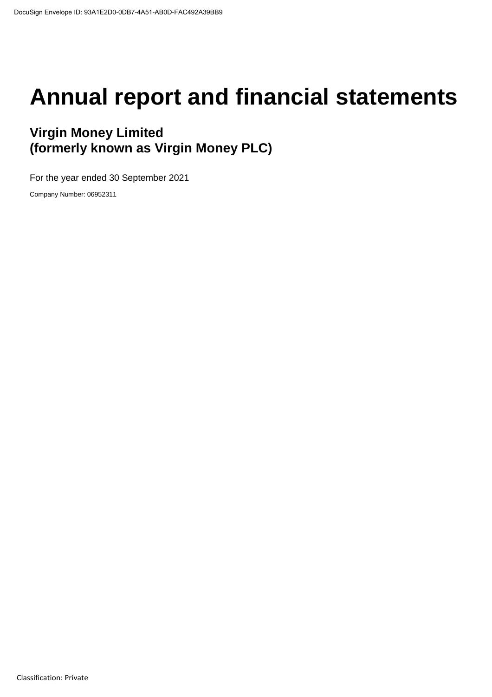# **Annual report and financial statements**

### **Virgin Money Limited (formerly known as Virgin Money PLC)**

For the year ended 30 September 2021

Company Number: 06952311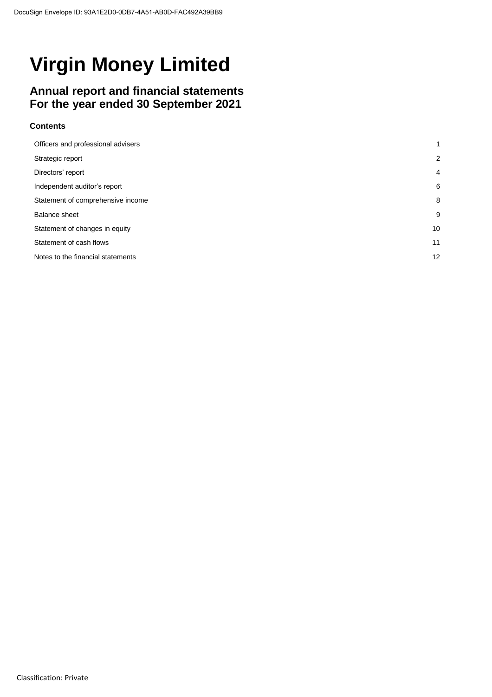### **Annual report and financial statements For the year ended 30 September 2021**

### **Contents**

| Officers and professional advisers | 1                 |
|------------------------------------|-------------------|
| Strategic report                   | $\overline{2}$    |
| Directors' report                  | $\overline{4}$    |
| Independent auditor's report       | 6                 |
| Statement of comprehensive income  | 8                 |
| Balance sheet                      | 9                 |
| Statement of changes in equity     | 10                |
| Statement of cash flows            | 11                |
| Notes to the financial statements  | $12 \overline{ }$ |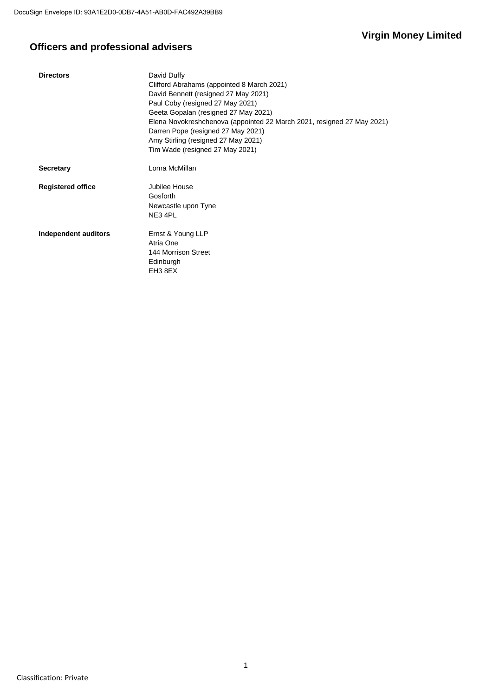### **Officers and professional advisers**

| <b>Directors</b>         | David Duffy<br>Clifford Abrahams (appointed 8 March 2021)<br>David Bennett (resigned 27 May 2021)<br>Paul Coby (resigned 27 May 2021)<br>Geeta Gopalan (resigned 27 May 2021)<br>Elena Novokreshchenova (appointed 22 March 2021, resigned 27 May 2021)<br>Darren Pope (resigned 27 May 2021)<br>Amy Stirling (resigned 27 May 2021)<br>Tim Wade (resigned 27 May 2021) |
|--------------------------|-------------------------------------------------------------------------------------------------------------------------------------------------------------------------------------------------------------------------------------------------------------------------------------------------------------------------------------------------------------------------|
| <b>Secretary</b>         | Lorna McMillan                                                                                                                                                                                                                                                                                                                                                          |
| <b>Registered office</b> | Jubilee House<br>Gosforth<br>Newcastle upon Tyne<br>NE3 4PL                                                                                                                                                                                                                                                                                                             |
| Independent auditors     | Ernst & Young LLP<br>Atria One<br>144 Morrison Street<br>Edinburgh<br>EH3 8EX                                                                                                                                                                                                                                                                                           |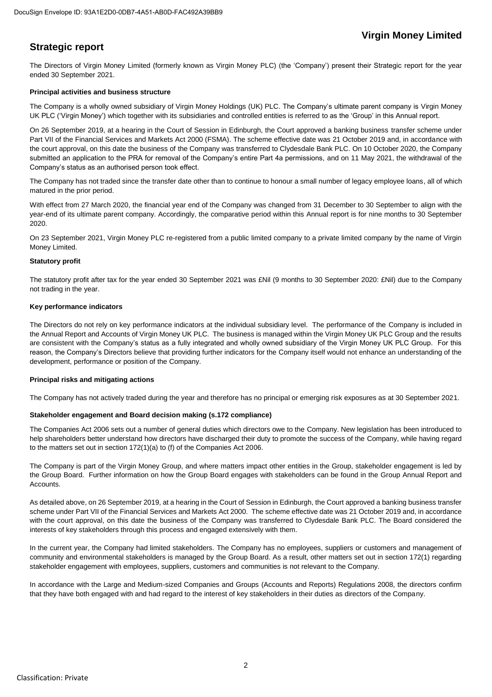### **Strategic report**

The Directors of Virgin Money Limited (formerly known as Virgin Money PLC) (the 'Company') present their Strategic report for the year ended 30 September 2021.

#### **Principal activities and business structure**

The Company is a wholly owned subsidiary of Virgin Money Holdings (UK) PLC. The Company's ultimate parent company is Virgin Money UK PLC ('Virgin Money') which together with its subsidiaries and controlled entities is referred to as the 'Group' in this Annual report.

On 26 September 2019, at a hearing in the Court of Session in Edinburgh, the Court approved a banking business transfer scheme under Part VII of the Financial Services and Markets Act 2000 (FSMA). The scheme effective date was 21 October 2019 and, in accordance with the court approval, on this date the business of the Company was transferred to Clydesdale Bank PLC. On 10 October 2020, the Company submitted an application to the PRA for removal of the Company's entire Part 4a permissions, and on 11 May 2021, the withdrawal of the Company's status as an authorised person took effect.

The Company has not traded since the transfer date other than to continue to honour a small number of legacy employee loans, all of which matured in the prior period.

With effect from 27 March 2020, the financial year end of the Company was changed from 31 December to 30 September to align with the year-end of its ultimate parent company. Accordingly, the comparative period within this Annual report is for nine months to 30 September 2020.

On 23 September 2021, Virgin Money PLC re-registered from a public limited company to a private limited company by the name of Virgin Money Limited.

#### **Statutory profit**

The statutory profit after tax for the year ended 30 September 2021 was £Nil (9 months to 30 September 2020: £Nil) due to the Company not trading in the year.

#### **Key performance indicators**

The Directors do not rely on key performance indicators at the individual subsidiary level. The performance of the Company is included in the Annual Report and Accounts of Virgin Money UK PLC. The business is managed within the Virgin Money UK PLC Group and the results are consistent with the Company's status as a fully integrated and wholly owned subsidiary of the Virgin Money UK PLC Group. For this reason, the Company's Directors believe that providing further indicators for the Company itself would not enhance an understanding of the development, performance or position of the Company.

#### **Principal risks and mitigating actions**

The Company has not actively traded during the year and therefore has no principal or emerging risk exposures as at 30 September 2021.

#### **Stakeholder engagement and Board decision making (s.172 compliance)**

The Companies Act 2006 sets out a number of general duties which directors owe to the Company. New legislation has been introduced to help shareholders better understand how directors have discharged their duty to promote the success of the Company, while having regard to the matters set out in section 172(1)(a) to (f) of the Companies Act 2006.

The Company is part of the Virgin Money Group, and where matters impact other entities in the Group, stakeholder engagement is led by the Group Board. Further information on how the Group Board engages with stakeholders can be found in the Group Annual Report and Accounts.

As detailed above, on 26 September 2019, at a hearing in the Court of Session in Edinburgh, the Court approved a banking business transfer scheme under Part VII of the Financial Services and Markets Act 2000. The scheme effective date was 21 October 2019 and, in accordance with the court approval, on this date the business of the Company was transferred to Clydesdale Bank PLC. The Board considered the interests of key stakeholders through this process and engaged extensively with them.

In the current year, the Company had limited stakeholders. The Company has no employees, suppliers or customers and management of community and environmental stakeholders is managed by the Group Board. As a result, other matters set out in section 172(1) regarding stakeholder engagement with employees, suppliers, customers and communities is not relevant to the Company.

In accordance with the Large and Medium-sized Companies and Groups (Accounts and Reports) Regulations 2008, the directors confirm that they have both engaged with and had regard to the interest of key stakeholders in their duties as directors of the Company.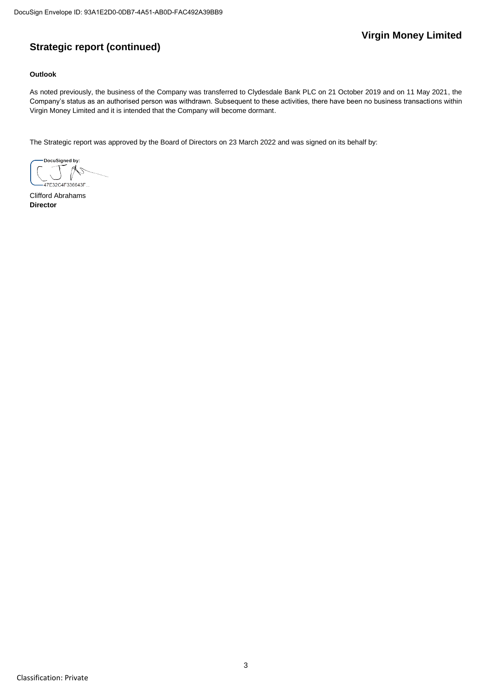### **Strategic report (continued)**

### **Outlook**

As noted previously, the business of the Company was transferred to Clydesdale Bank PLC on 21 October 2019 and on 11 May 2021, the Company's status as an authorised person was withdrawn. Subsequent to these activities, there have been no business transactions within Virgin Money Limited and it is intended that the Company will become dormant.

The Strategic report was approved by the Board of Directors on 23 March 2022 and was signed on its behalf by:

DocuSigned by: 47F32C4F336643F

Clifford Abrahams **Director**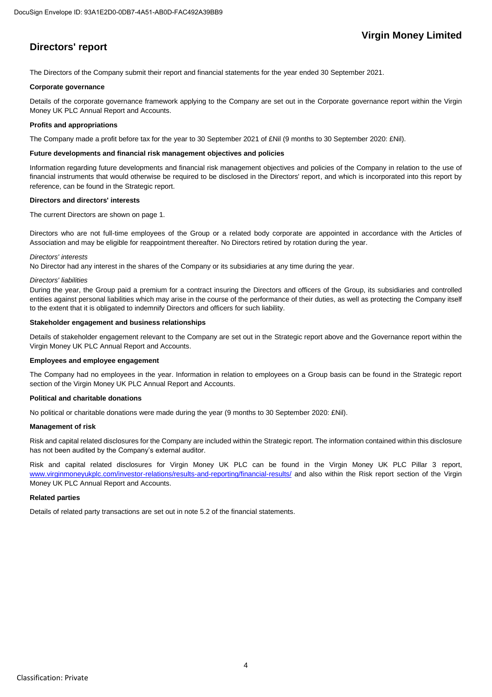### **Directors' report**

The Directors of the Company submit their report and financial statements for the year ended 30 September 2021.

#### **Corporate governance**

Details of the corporate governance framework applying to the Company are set out in the Corporate governance report within the Virgin Money UK PLC Annual Report and Accounts.

#### **Profits and appropriations**

The Company made a profit before tax for the year to 30 September 2021 of £Nil (9 months to 30 September 2020: £Nil).

#### **Future developments and financial risk management objectives and policies**

Information regarding future developments and financial risk management objectives and policies of the Company in relation to the use of financial instruments that would otherwise be required to be disclosed in the Directors' report, and which is incorporated into this report by reference, can be found in the Strategic report.

#### **Directors and directors' interests**

The current Directors are shown on page 1.

Directors who are not full-time employees of the Group or a related body corporate are appointed in accordance with the Articles of Association and may be eligible for reappointment thereafter. No Directors retired by rotation during the year.

#### *Directors' interests*

No Director had any interest in the shares of the Company or its subsidiaries at any time during the year.

#### *Directors' liabilities*

During the year, the Group paid a premium for a contract insuring the Directors and officers of the Group, its subsidiaries and controlled entities against personal liabilities which may arise in the course of the performance of their duties, as well as protecting the Company itself to the extent that it is obligated to indemnify Directors and officers for such liability.

#### **Stakeholder engagement and business relationships**

Details of stakeholder engagement relevant to the Company are set out in the Strategic report above and the Governance report within the Virgin Money UK PLC Annual Report and Accounts.

### **Employees and employee engagement**

The Company had no employees in the year. Information in relation to employees on a Group basis can be found in the Strategic report section of the Virgin Money UK PLC Annual Report and Accounts.

#### **Political and charitable donations**

No political or charitable donations were made during the year (9 months to 30 September 2020: £Nil).

### **Management of risk**

Risk and capital related disclosures for the Company are included within the Strategic report. The information contained within this disclosure has not been audited by the Company's external auditor.

Risk and capital related disclosures for Virgin Money UK PLC can be found in the Virgin Money UK PLC Pillar 3 report, [www.virginmoneyukplc.com/investor-relations/results-and-reporting/financial-results/](http://www.virginmoneyukplc.com/investor-relations/results-and-reporting/financial-results/) and also within the Risk report section of the Virgin Money UK PLC Annual Report and Accounts.

### **Related parties**

Details of related party transactions are set out in note 5.2 of the financial statements.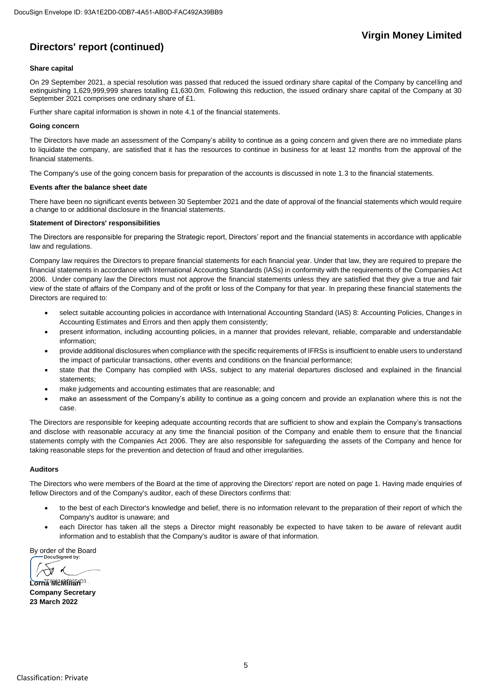### **Directors' report (continued)**

### **Share capital**

On 29 September 2021, a special resolution was passed that reduced the issued ordinary share capital of the Company by cancelling and extinguishing 1,629,999,999 shares totalling £1,630.0m. Following this reduction, the issued ordinary share capital of the Company at 30 September 2021 comprises one ordinary share of £1.

Further share capital information is shown in note 4.1 of the financial statements.

#### **Going concern**

The Directors have made an assessment of the Company's ability to continue as a going concern and given there are no immediate plans to liquidate the company, are satisfied that it has the resources to continue in business for at least 12 months from the approval of the financial statements.

The Company's use of the going concern basis for preparation of the accounts is discussed in note 1.3 to the financial statements.

#### **Events after the balance sheet date**

There have been no significant events between 30 September 2021 and the date of approval of the financial statements which would require a change to or additional disclosure in the financial statements.

#### **Statement of Directors' responsibilities**

The Directors are responsible for preparing the Strategic report, Directors' report and the financial statements in accordance with applicable law and regulations.

Company law requires the Directors to prepare financial statements for each financial year. Under that law, they are required to prepare the financial statements in accordance with International Accounting Standards (IASs) in conformity with the requirements of the Companies Act 2006. Under company law the Directors must not approve the financial statements unless they are satisfied that they give a true and fair view of the state of affairs of the Company and of the profit or loss of the Company for that year. In preparing these financial statements the Directors are required to:

- select suitable accounting policies in accordance with International Accounting Standard (IAS) 8: Accounting Policies, Changes in Accounting Estimates and Errors and then apply them consistently;
- present information, including accounting policies, in a manner that provides relevant, reliable, comparable and understandable information;
- provide additional disclosures when compliance with the specific requirements of IFRSs is insufficient to enable users to understand the impact of particular transactions, other events and conditions on the financial performance;
- state that the Company has complied with IASs, subject to any material departures disclosed and explained in the financial statements;
- make judgements and accounting estimates that are reasonable; and
- make an assessment of the Company's ability to continue as a going concern and provide an explanation where this is not the case.

The Directors are responsible for keeping adequate accounting records that are sufficient to show and explain the Company's transactions and disclose with reasonable accuracy at any time the financial position of the Company and enable them to ensure that the financial statements comply with the Companies Act 2006. They are also responsible for safeguarding the assets of the Company and hence for taking reasonable steps for the prevention and detection of fraud and other irregularities.

### **Auditors**

The Directors who were members of the Board at the time of approving the Directors' report are noted on page 1. Having made enquiries of fellow Directors and of the Company's auditor, each of these Directors confirms that:

- to the best of each Director's knowledge and belief, there is no information relevant to the preparation of their report of which the Company's auditor is unaware; and
- each Director has taken all the steps a Director might reasonably be expected to have taken to be aware of relevant audit information and to establish that the Company's auditor is aware of that information.

By order of the Board

 $\rightsquigarrow$ 

Lorna **MeMillan**<sup>D3 ...</sup> **Company Secretary 23 March 2022**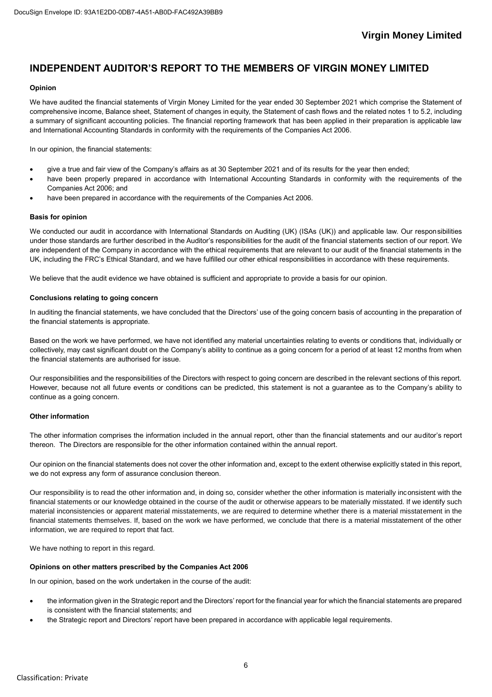### **INDEPENDENT AUDITOR'S REPORT TO THE MEMBERS OF VIRGIN MONEY LIMITED**

### **Opinion**

We have audited the financial statements of Virgin Money Limited for the year ended 30 September 2021 which comprise the Statement of comprehensive income, Balance sheet, Statement of changes in equity, the Statement of cash flows and the related notes 1 to 5.2, including a summary of significant accounting policies. The financial reporting framework that has been applied in their preparation is applicable law and International Accounting Standards in conformity with the requirements of the Companies Act 2006.

In our opinion, the financial statements:

- give a true and fair view of the Company's affairs as at 30 September 2021 and of its results for the year then ended;
- have been properly prepared in accordance with International Accounting Standards in conformity with the requirements of the Companies Act 2006; and
- have been prepared in accordance with the requirements of the Companies Act 2006.

### **Basis for opinion**

We conducted our audit in accordance with International Standards on Auditing (UK) (ISAs (UK)) and applicable law. Our responsibilities under those standards are further described in the Auditor's responsibilities for the audit of the financial statements section of our report. We are independent of the Company in accordance with the ethical requirements that are relevant to our audit of the financial statements in the UK, including the FRC's Ethical Standard, and we have fulfilled our other ethical responsibilities in accordance with these requirements.

We believe that the audit evidence we have obtained is sufficient and appropriate to provide a basis for our opinion.

#### **Conclusions relating to going concern**

In auditing the financial statements, we have concluded that the Directors' use of the going concern basis of accounting in the preparation of the financial statements is appropriate.

Based on the work we have performed, we have not identified any material uncertainties relating to events or conditions that, individually or collectively, may cast significant doubt on the Company's ability to continue as a going concern for a period of at least 12 months from when the financial statements are authorised for issue.

Our responsibilities and the responsibilities of the Directors with respect to going concern are described in the relevant sections of this report. However, because not all future events or conditions can be predicted, this statement is not a guarantee as to the Company's ability to continue as a going concern.

#### **Other information**

The other information comprises the information included in the annual report, other than the financial statements and our auditor's report thereon. The Directors are responsible for the other information contained within the annual report.

Our opinion on the financial statements does not cover the other information and, except to the extent otherwise explicitly stated in this report, we do not express any form of assurance conclusion thereon.

Our responsibility is to read the other information and, in doing so, consider whether the other information is materially inconsistent with the financial statements or our knowledge obtained in the course of the audit or otherwise appears to be materially misstated. If we identify such material inconsistencies or apparent material misstatements, we are required to determine whether there is a material misstatement in the financial statements themselves. If, based on the work we have performed, we conclude that there is a material misstatement of the other information, we are required to report that fact.

We have nothing to report in this regard.

#### **Opinions on other matters prescribed by the Companies Act 2006**

In our opinion, based on the work undertaken in the course of the audit:

- the information given in the Strategic report and the Directors' report for the financial year for which the financial statements are prepared is consistent with the financial statements; and
- the Strategic report and Directors' report have been prepared in accordance with applicable legal requirements.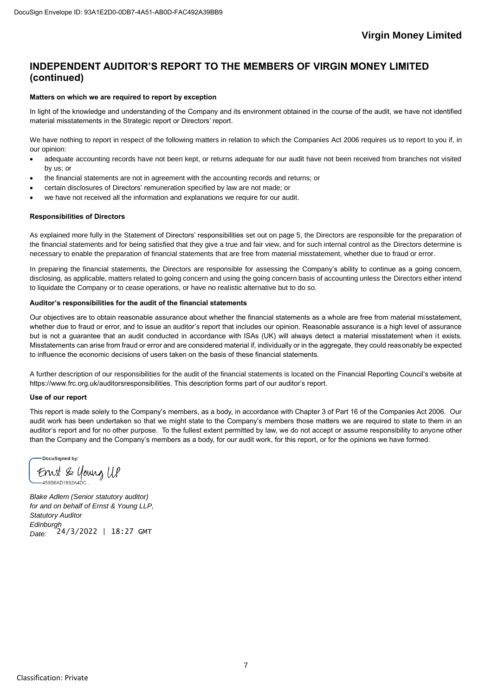### **INDEPENDENT AUDITOR'S REPORT TO THE MEMBERS OF VIRGIN MONEY LIMITED (continued)**

#### **Matters on which we are required to report by exception**

In light of the knowledge and understanding of the Company and its environment obtained in the course of the audit, we have not identified material misstatements in the Strategic report or Directors' report.

We have nothing to report in respect of the following matters in relation to which the Companies Act 2006 requires us to report to you if, in our opinion:

- adequate accounting records have not been kept, or returns adequate for our audit have not been received from branches not visited by us; or
- the financial statements are not in agreement with the accounting records and returns; or
- certain disclosures of Directors' remuneration specified by law are not made; or
- we have not received all the information and explanations we require for our audit.

#### **Responsibilities of Directors**

As explained more fully in the Statement of Directors' responsibilities set out on page 5, the Directors are responsible for the preparation of the financial statements and for being satisfied that they give a true and fair view, and for such internal control as the Directors determine is necessary to enable the preparation of financial statements that are free from material misstatement, whether due to fraud or error.

In preparing the financial statements, the Directors are responsible for assessing the Company's ability to continue as a going concern, disclosing, as applicable, matters related to going concern and using the going concern basis of accounting unless the Directors either intend to liquidate the Company or to cease operations, or have no realistic alternative but to do so.

### **Auditor's responsibilities for the audit of the financial statements**

Our objectives are to obtain reasonable assurance about whether the financial statements as a whole are free from material misstatement, whether due to fraud or error, and to issue an auditor's report that includes our opinion. Reasonable assurance is a high level of assurance but is not a guarantee that an audit conducted in accordance with ISAs (UK) will always detect a material misstatement when it exists. Misstatements can arise from fraud or error and are considered material if, individually or in the aggregate, they could reasonably be expected to influence the economic decisions of users taken on the basis of these financial statements.

A further description of our responsibilities for the audit of the financial statements is located on the Financial Reporting Council's website at https://www.frc.org.uk/auditorsresponsibilities. This description forms part of our auditor's report.

#### **Use of our report**

This report is made solely to the Company's members, as a body, in accordance with Chapter 3 of Part 16 of the Companies Act 2006. Our audit work has been undertaken so that we might state to the Company's members those matters we are required to state to them in an auditor's report and for no other purpose. To the fullest extent permitted by law, we do not accept or assume responsibility to anyone other than the Company and the Company's members as a body, for our audit work, for this report, or for the opinions we have formed.

DocuSigned by: Ernst & Young UP

*Blake Adlem (Senior statutory auditor) for and on behalf of Ernst & Young LLP, Statutory Auditor Edinburgh Date:*  24/3/2022 | 18:27 GMT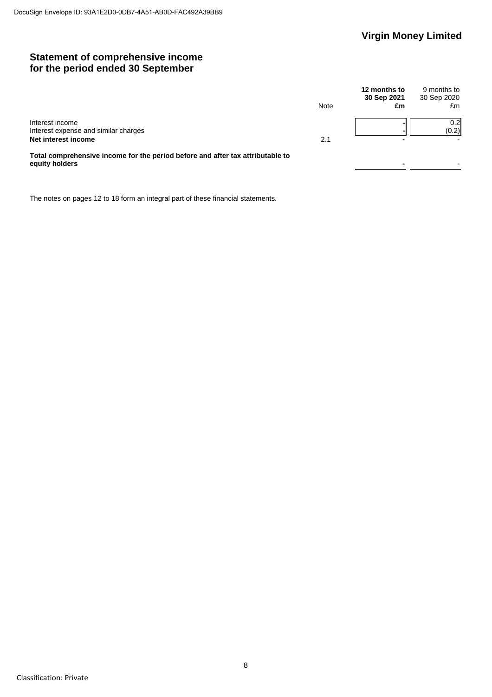### **Statement of comprehensive income for the period ended 30 September**

|                                                                                                  | Note | 12 months to<br>30 Sep 2021<br>£m | 9 months to<br>30 Sep 2020<br>£m |
|--------------------------------------------------------------------------------------------------|------|-----------------------------------|----------------------------------|
| Interest income<br>Interest expense and similar charges<br>Net interest income                   | 2.1  | -                                 | 0.2 <sub>l</sub><br>(0.2)        |
| Total comprehensive income for the period before and after tax attributable to<br>equity holders |      |                                   |                                  |

The notes on pages 12 to 18 form an integral part of these financial statements.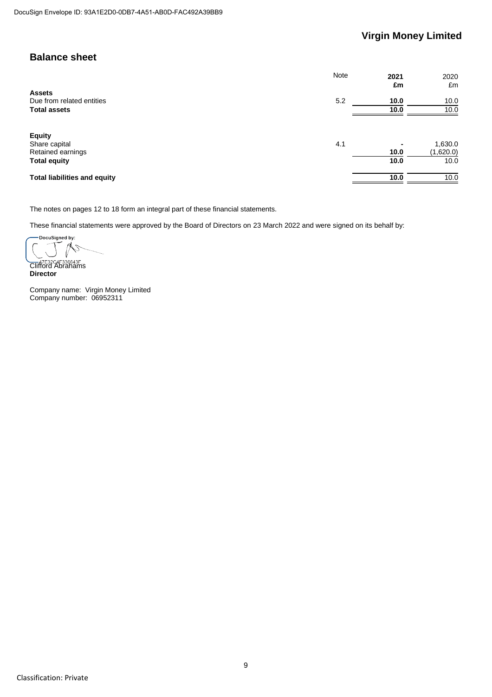### **Balance sheet**

|                                                     | <b>Note</b> | 2021<br>£m | 2020<br>£m           |
|-----------------------------------------------------|-------------|------------|----------------------|
| <b>Assets</b><br>Due from related entities          | 5.2         | 10.0       | 10.0                 |
| <b>Total assets</b>                                 |             | 10.0       | 10.0                 |
| <b>Equity</b><br>Share capital<br>Retained earnings | 4.1         | 10.0       | 1,630.0<br>(1,620.0) |
| <b>Total equity</b>                                 |             | 10.0       | 10.0                 |
| <b>Total liabilities and equity</b>                 |             | 10.0       | 10.0                 |

The notes on pages 12 to 18 form an integral part of these financial statements.

These financial statements were approved by the Board of Directors on 23 March 2022 and were signed on its behalf by:

.<br>DocuSigned by:  $\mathbb{R}$ Z

**Clifford Abrahams Director**

Company name: Virgin Money Limited Company number: 06952311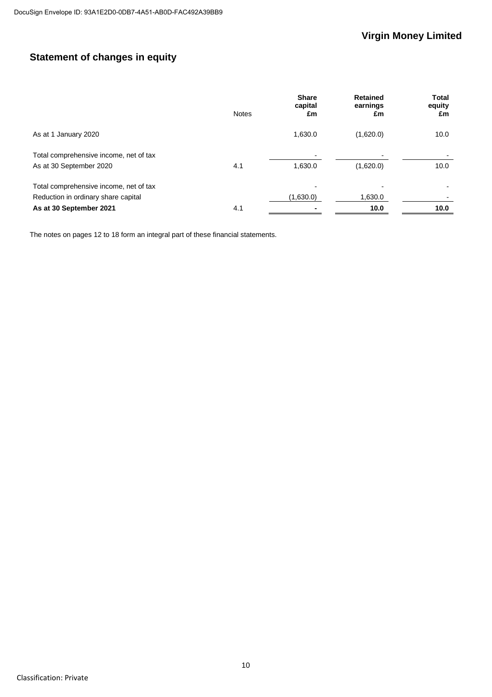### **Statement of changes in equity**

|                                                                               | <b>Notes</b> | <b>Share</b><br>capital<br>£m         | <b>Retained</b><br>earnings<br>£m | <b>Total</b><br>equity<br>£m |
|-------------------------------------------------------------------------------|--------------|---------------------------------------|-----------------------------------|------------------------------|
| As at 1 January 2020                                                          |              | 1,630.0                               | (1,620.0)                         | 10.0                         |
| Total comprehensive income, net of tax<br>As at 30 September 2020             | 4.1          | $\blacksquare$<br>1,630.0             | (1,620.0)                         | 10.0                         |
| Total comprehensive income, net of tax<br>Reduction in ordinary share capital |              | $\overline{\phantom{0}}$<br>(1,630.0) | 1,630.0                           |                              |
| As at 30 September 2021                                                       | 4.1          |                                       | 10.0                              | 10.0                         |

The notes on pages 12 to 18 form an integral part of these financial statements.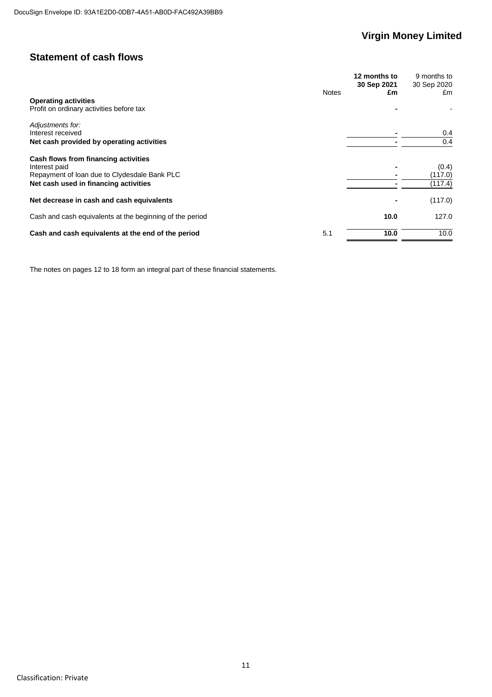### **Statement of cash flows**

|                                                          |              | 12 months to<br>30 Sep 2021 | 9 months to<br>30 Sep 2020 |
|----------------------------------------------------------|--------------|-----------------------------|----------------------------|
|                                                          | <b>Notes</b> | £m                          | £m                         |
| <b>Operating activities</b>                              |              |                             |                            |
| Profit on ordinary activities before tax                 |              |                             |                            |
| Adjustments for:                                         |              |                             |                            |
| Interest received                                        |              |                             | 0.4                        |
| Net cash provided by operating activities                |              |                             | 0.4                        |
| Cash flows from financing activities                     |              |                             |                            |
| Interest paid                                            |              |                             | (0.4)                      |
| Repayment of loan due to Clydesdale Bank PLC             |              |                             | (117.0)                    |
| Net cash used in financing activities                    |              |                             | (117.4)                    |
| Net decrease in cash and cash equivalents                |              |                             | (117.0)                    |
| Cash and cash equivalents at the beginning of the period |              | 10.0                        | 127.0                      |
| Cash and cash equivalents at the end of the period       | 5.1          | 10.0                        | 10.0                       |

The notes on pages 12 to 18 form an integral part of these financial statements.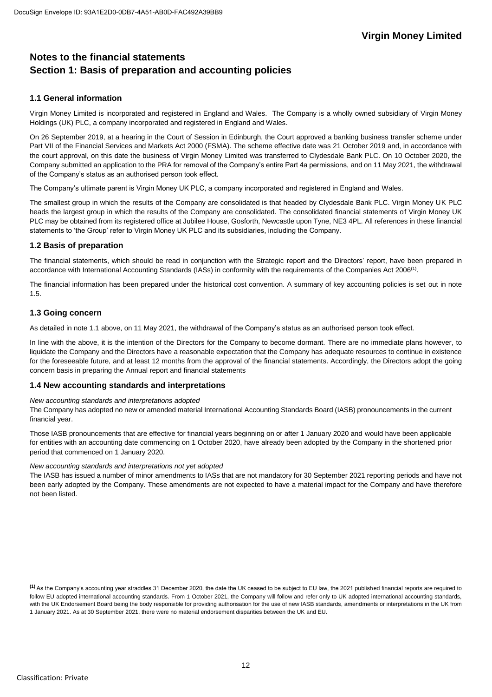### **Notes to the financial statements Section 1: Basis of preparation and accounting policies**

### **1.1 General information**

Virgin Money Limited is incorporated and registered in England and Wales. The Company is a wholly owned subsidiary of Virgin Money Holdings (UK) PLC, a company incorporated and registered in England and Wales.

On 26 September 2019, at a hearing in the Court of Session in Edinburgh, the Court approved a banking business transfer scheme under Part VII of the Financial Services and Markets Act 2000 (FSMA). The scheme effective date was 21 October 2019 and, in accordance with the court approval, on this date the business of Virgin Money Limited was transferred to Clydesdale Bank PLC. On 10 October 2020, the Company submitted an application to the PRA for removal of the Company's entire Part 4a permissions, and on 11 May 2021, the withdrawal of the Company's status as an authorised person took effect.

The Company's ultimate parent is Virgin Money UK PLC, a company incorporated and registered in England and Wales.

The smallest group in which the results of the Company are consolidated is that headed by Clydesdale Bank PLC. Virgin Money UK PLC heads the largest group in which the results of the Company are consolidated. The consolidated financial statements of Virgin Money UK PLC may be obtained from its registered office at Jubilee House, Gosforth, Newcastle upon Tyne, NE3 4PL. All references in these financial statements to 'the Group' refer to Virgin Money UK PLC and its subsidiaries, including the Company.

### **1.2 Basis of preparation**

The financial statements, which should be read in conjunction with the Strategic report and the Directors' report, have been prepared in accordance with International Accounting Standards (IASs) in conformity with the requirements of the Companies Act 2006<sup>(1)</sup>.

The financial information has been prepared under the historical cost convention. A summary of key accounting policies is set out in note 1.5.

### **1.3 Going concern**

As detailed in note 1.1 above, on 11 May 2021, the withdrawal of the Company's status as an authorised person took effect.

In line with the above, it is the intention of the Directors for the Company to become dormant. There are no immediate plans however, to liquidate the Company and the Directors have a reasonable expectation that the Company has adequate resources to continue in existence for the foreseeable future, and at least 12 months from the approval of the financial statements. Accordingly, the Directors adopt the going concern basis in preparing the Annual report and financial statements

### **1.4 New accounting standards and interpretations**

### *New accounting standards and interpretations adopted*

The Company has adopted no new or amended material International Accounting Standards Board (IASB) pronouncements in the current financial year.

Those IASB pronouncements that are effective for financial years beginning on or after 1 January 2020 and would have been applicable for entities with an accounting date commencing on 1 October 2020, have already been adopted by the Company in the shortened prior period that commenced on 1 January 2020.

### *New accounting standards and interpretations not yet adopted*

The IASB has issued a number of minor amendments to IASs that are not mandatory for 30 September 2021 reporting periods and have not been early adopted by the Company. These amendments are not expected to have a material impact for the Company and have therefore not been listed.

**<sup>(1)</sup>** As the Company's accounting year straddles 31 December 2020, the date the UK ceased to be subject to EU law, the 2021 published financial reports are required to follow EU adopted international accounting standards. From 1 October 2021, the Company will follow and refer only to UK adopted international accounting standards, with the UK Endorsement Board being the body responsible for providing authorisation for the use of new IASB standards, amendments or interpretations in the UK from 1 January 2021. As at 30 September 2021, there were no material endorsement disparities between the UK and EU.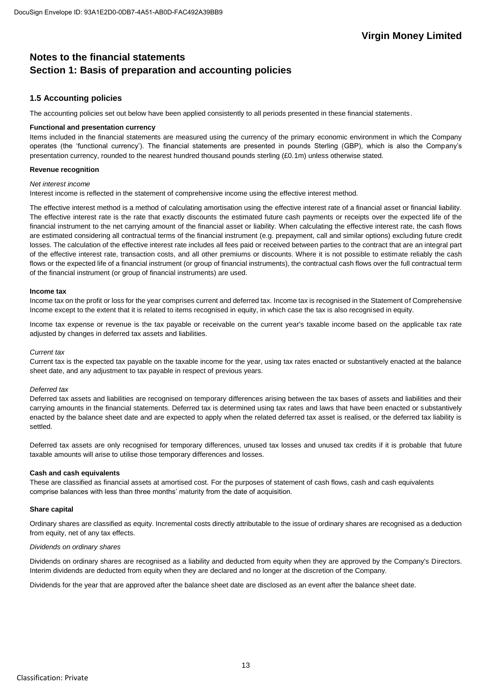### **Notes to the financial statements Section 1: Basis of preparation and accounting policies**

### **1.5 Accounting policies**

The accounting policies set out below have been applied consistently to all periods presented in these financial statements.

#### **Functional and presentation currency**

Items included in the financial statements are measured using the currency of the primary economic environment in which the Company operates (the 'functional currency'). The financial statements are presented in pounds Sterling (GBP), which is also the Company's presentation currency, rounded to the nearest hundred thousand pounds sterling (£0.1m) unless otherwise stated.

#### **Revenue recognition**

#### *Net interest income*

Interest income is reflected in the statement of comprehensive income using the effective interest method.

The effective interest method is a method of calculating amortisation using the effective interest rate of a financial asset or financial liability. The effective interest rate is the rate that exactly discounts the estimated future cash payments or receipts over the expected life of the financial instrument to the net carrying amount of the financial asset or liability. When calculating the effective interest rate, the cash flows are estimated considering all contractual terms of the financial instrument (e.g. prepayment, call and similar options) excluding future credit losses. The calculation of the effective interest rate includes all fees paid or received between parties to the contract that are an integral part of the effective interest rate, transaction costs, and all other premiums or discounts. Where it is not possible to estimate reliably the cash flows or the expected life of a financial instrument (or group of financial instruments), the contractual cash flows over the full contractual term of the financial instrument (or group of financial instruments) are used.

#### **Income tax**

Income tax on the profit or loss for the year comprises current and deferred tax. Income tax is recognised in the Statement of Comprehensive Income except to the extent that it is related to items recognised in equity, in which case the tax is also recognised in equity.

Income tax expense or revenue is the tax payable or receivable on the current year's taxable income based on the applicable tax rate adjusted by changes in deferred tax assets and liabilities.

#### *Current tax*

Current tax is the expected tax payable on the taxable income for the year, using tax rates enacted or substantively enacted at the balance sheet date, and any adjustment to tax payable in respect of previous years.

#### *Deferred tax*

Deferred tax assets and liabilities are recognised on temporary differences arising between the tax bases of assets and liabilities and their carrying amounts in the financial statements. Deferred tax is determined using tax rates and laws that have been enacted or substantively enacted by the balance sheet date and are expected to apply when the related deferred tax asset is realised, or the deferred tax liability is settled.

Deferred tax assets are only recognised for temporary differences, unused tax losses and unused tax credits if it is probable that future taxable amounts will arise to utilise those temporary differences and losses.

### **Cash and cash equivalents**

These are classified as financial assets at amortised cost. For the purposes of statement of cash flows, cash and cash equivalents comprise balances with less than three months' maturity from the date of acquisition.

#### **Share capital**

Ordinary shares are classified as equity. Incremental costs directly attributable to the issue of ordinary shares are recognised as a deduction from equity, net of any tax effects.

#### *Dividends on ordinary shares*

Dividends on ordinary shares are recognised as a liability and deducted from equity when they are approved by the Company's Directors. Interim dividends are deducted from equity when they are declared and no longer at the discretion of the Company.

Dividends for the year that are approved after the balance sheet date are disclosed as an event after the balance sheet date.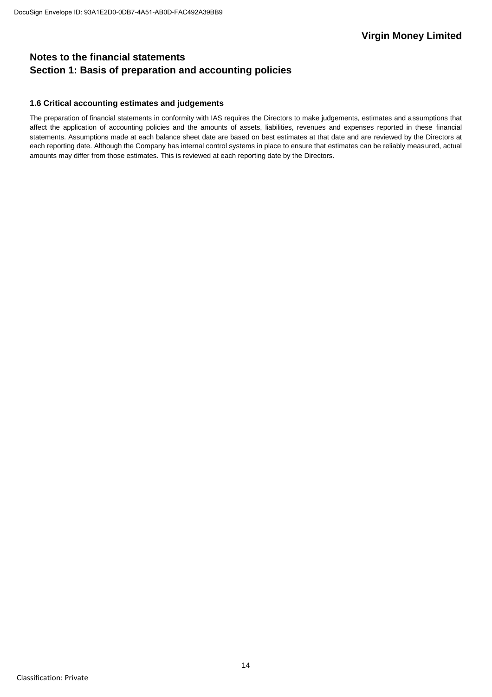### **Notes to the financial statements Section 1: Basis of preparation and accounting policies**

### **1.6 Critical accounting estimates and judgements**

The preparation of financial statements in conformity with IAS requires the Directors to make judgements, estimates and assumptions that affect the application of accounting policies and the amounts of assets, liabilities, revenues and expenses reported in these financial statements. Assumptions made at each balance sheet date are based on best estimates at that date and are reviewed by the Directors at each reporting date. Although the Company has internal control systems in place to ensure that estimates can be reliably measured, actual amounts may differ from those estimates. This is reviewed at each reporting date by the Directors.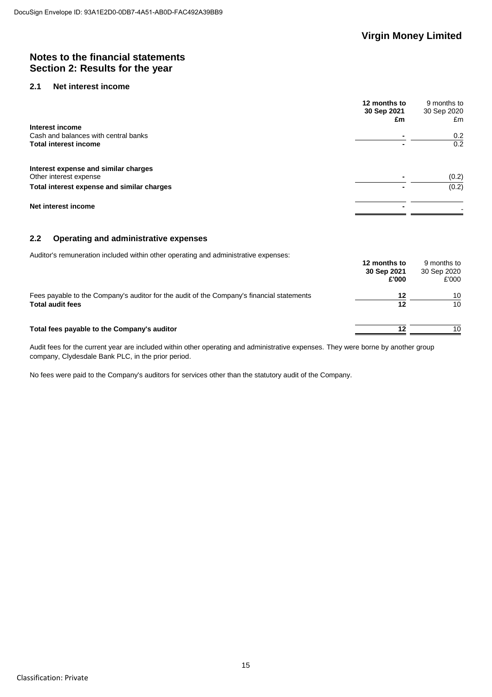### **Notes to the financial statements Section 2: Results for the year**

### **2.1 Net interest income**

|                                            | 12 months to<br>30 Sep 2021<br>£m | 9 months to<br>30 Sep 2020<br>£m |
|--------------------------------------------|-----------------------------------|----------------------------------|
| Interest income                            |                                   |                                  |
| Cash and balances with central banks       |                                   | 0.2                              |
| <b>Total interest income</b>               |                                   | 0.2                              |
| Interest expense and similar charges       |                                   |                                  |
| Other interest expense                     |                                   | (0.2)                            |
| Total interest expense and similar charges |                                   | (0.2)                            |
| Net interest income                        |                                   |                                  |

### **2.2 Operating and administrative expenses**

Auditor's remuneration included within other operating and administrative expenses:

|                                                                                                                      | 12 months to<br>30 Sep 2021<br>£'000 | 9 months to<br>30 Sep 2020<br>£'000 |
|----------------------------------------------------------------------------------------------------------------------|--------------------------------------|-------------------------------------|
| Fees payable to the Company's auditor for the audit of the Company's financial statements<br><b>Total audit fees</b> | 12<br>12                             | 10<br>10                            |
| Total fees payable to the Company's auditor                                                                          | 12                                   | 10                                  |

Audit fees for the current year are included within other operating and administrative expenses. They were borne by another group company, Clydesdale Bank PLC, in the prior period.

No fees were paid to the Company's auditors for services other than the statutory audit of the Company.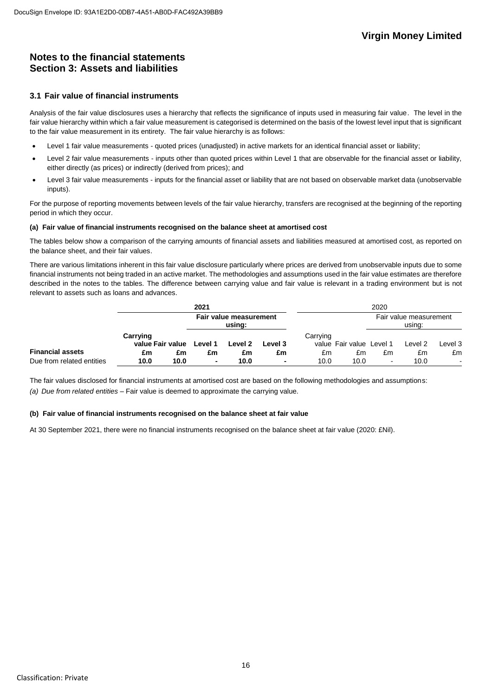### **Notes to the financial statements Section 3: Assets and liabilities**

### **3.1 Fair value of financial instruments**

Analysis of the fair value disclosures uses a hierarchy that reflects the significance of inputs used in measuring fair value. The level in the fair value hierarchy within which a fair value measurement is categorised is determined on the basis of the lowest level input that is significant to the fair value measurement in its entirety. The fair value hierarchy is as follows:

- Level 1 fair value measurements quoted prices (unadjusted) in active markets for an identical financial asset or liability;
- Level 2 fair value measurements inputs other than quoted prices within Level 1 that are observable for the financial asset or liability, either directly (as prices) or indirectly (derived from prices); and
- Level 3 fair value measurements inputs for the financial asset or liability that are not based on observable market data (unobservable inputs).

For the purpose of reporting movements between levels of the fair value hierarchy, transfers are recognised at the beginning of the reporting period in which they occur.

### **(a) Fair value of financial instruments recognised on the balance sheet at amortised cost**

The tables below show a comparison of the carrying amounts of financial assets and liabilities measured at amortised cost, as reported on the balance sheet, and their fair values.

There are various limitations inherent in this fair value disclosure particularly where prices are derived from unobservable inputs due to some financial instruments not being traded in an active market. The methodologies and assumptions used in the fair value estimates are therefore described in the notes to the tables. The difference between carrying value and fair value is relevant in a trading environment but is not relevant to assets such as loans and advances.

|                           |                              |      | 2021                             |         |         |          |                          | 2020           |                                  |         |
|---------------------------|------------------------------|------|----------------------------------|---------|---------|----------|--------------------------|----------------|----------------------------------|---------|
|                           |                              |      | Fair value measurement<br>using: |         |         |          |                          |                | Fair value measurement<br>using: |         |
|                           | Carrying<br>value Fair value |      | Level 1                          | Level 2 | Level 3 | Carrying | value Fair value Level 1 |                | Level 2                          | Level 3 |
| <b>Financial assets</b>   | £m                           | £m   | £m                               | £m      | £m      | £m       | £m                       | £m             | £m                               | £m      |
| Due from related entities | 10.0                         | 10.0 | $\sim$                           | 10.0    | ۰       | 10.0     | 10.0                     | $\blacksquare$ | 10.0                             |         |

The fair values disclosed for financial instruments at amortised cost are based on the following methodologies and assumptions: *(a) Due from related entities* – Fair value is deemed to approximate the carrying value.

### **(b) Fair value of financial instruments recognised on the balance sheet at fair value**

At 30 September 2021, there were no financial instruments recognised on the balance sheet at fair value (2020: £Nil).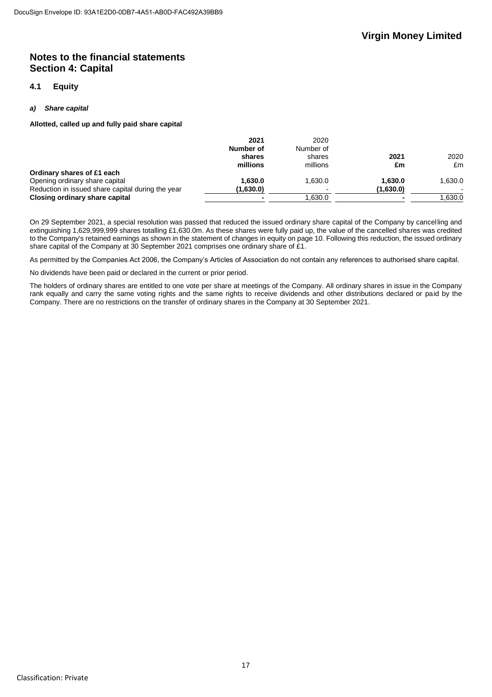### **Notes to the financial statements Section 4: Capital**

### **4.1 Equity**

### *a) Share capital*

**Allotted, called up and fully paid share capital**

| 2021      | 2020      |           |         |
|-----------|-----------|-----------|---------|
| Number of | Number of |           |         |
| shares    | shares    | 2021      | 2020    |
| millions  | millions  | £m        | £m      |
|           |           |           |         |
| 1.630.0   | 1.630.0   | 1.630.0   | 1.630.0 |
| (1,630.0) |           | (1,630.0) |         |
|           | .630.0    |           | 0.630.0 |
|           |           |           |         |

On 29 September 2021, a special resolution was passed that reduced the issued ordinary share capital of the Company by cancelling and extinguishing 1,629,999,999 shares totalling £1,630.0m. As these shares were fully paid up, the value of the cancelled shares was credited to the Company's retained earnings as shown in the statement of changes in equity on page 10. Following this reduction, the issued ordinary share capital of the Company at 30 September 2021 comprises one ordinary share of £1.

As permitted by the Companies Act 2006, the Company's Articles of Association do not contain any references to authorised share capital.

No dividends have been paid or declared in the current or prior period.

The holders of ordinary shares are entitled to one vote per share at meetings of the Company. All ordinary shares in issue in the Company rank equally and carry the same voting rights and the same rights to receive dividends and other distributions declared or paid by the Company. There are no restrictions on the transfer of ordinary shares in the Company at 30 September 2021.